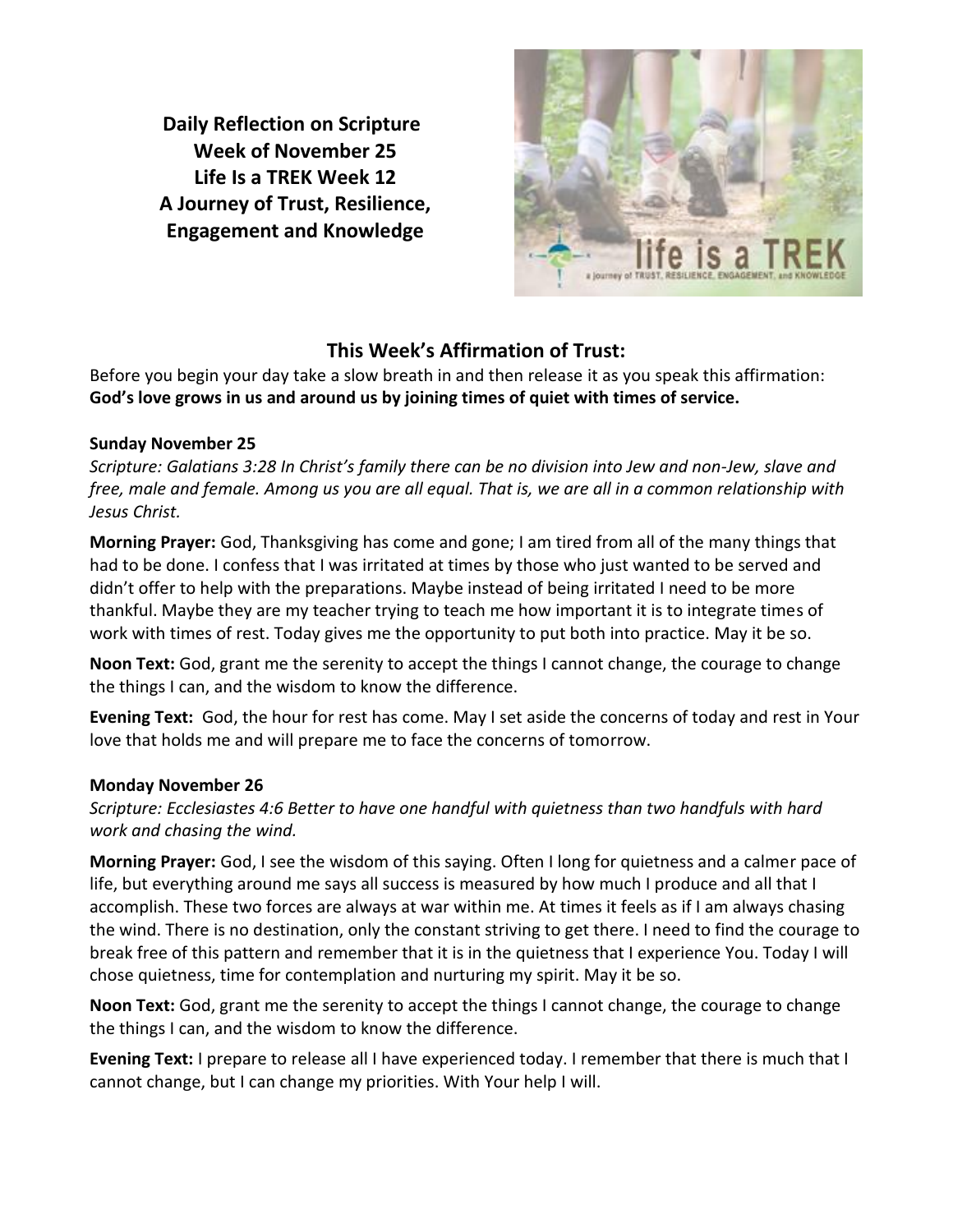**Daily Reflection on Scripture Week of November 25 Life Is a TREK Week 12 A Journey of Trust, Resilience, Engagement and Knowledge**



# **This Week's Affirmation of Trust:**

Before you begin your day take a slow breath in and then release it as you speak this affirmation: **God's love grows in us and around us by joining times of quiet with times of service.**

# **Sunday November 25**

*Scripture: Galatians 3:28 In Christ's family there can be no division into Jew and non-Jew, slave and free, male and female. Among us you are all equal. That is, we are all in a common relationship with Jesus Christ.*

**Morning Prayer:** God, Thanksgiving has come and gone; I am tired from all of the many things that had to be done. I confess that I was irritated at times by those who just wanted to be served and didn't offer to help with the preparations. Maybe instead of being irritated I need to be more thankful. Maybe they are my teacher trying to teach me how important it is to integrate times of work with times of rest. Today gives me the opportunity to put both into practice. May it be so.

**Noon Text:** God, grant me the serenity to accept the things I cannot change, the courage to change the things I can, and the wisdom to know the difference.

**Evening Text:** God, the hour for rest has come. May I set aside the concerns of today and rest in Your love that holds me and will prepare me to face the concerns of tomorrow.

# **Monday November 26**

*Scripture: Ecclesiastes 4:6 Better to have one handful with quietness than two handfuls with hard work and chasing the wind.*

**Morning Prayer:** God, I see the wisdom of this saying. Often I long for quietness and a calmer pace of life, but everything around me says all success is measured by how much I produce and all that I accomplish. These two forces are always at war within me. At times it feels as if I am always chasing the wind. There is no destination, only the constant striving to get there. I need to find the courage to break free of this pattern and remember that it is in the quietness that I experience You. Today I will chose quietness, time for contemplation and nurturing my spirit. May it be so.

**Noon Text:** God, grant me the serenity to accept the things I cannot change, the courage to change the things I can, and the wisdom to know the difference.

**Evening Text:** I prepare to release all I have experienced today. I remember that there is much that I cannot change, but I can change my priorities. With Your help I will.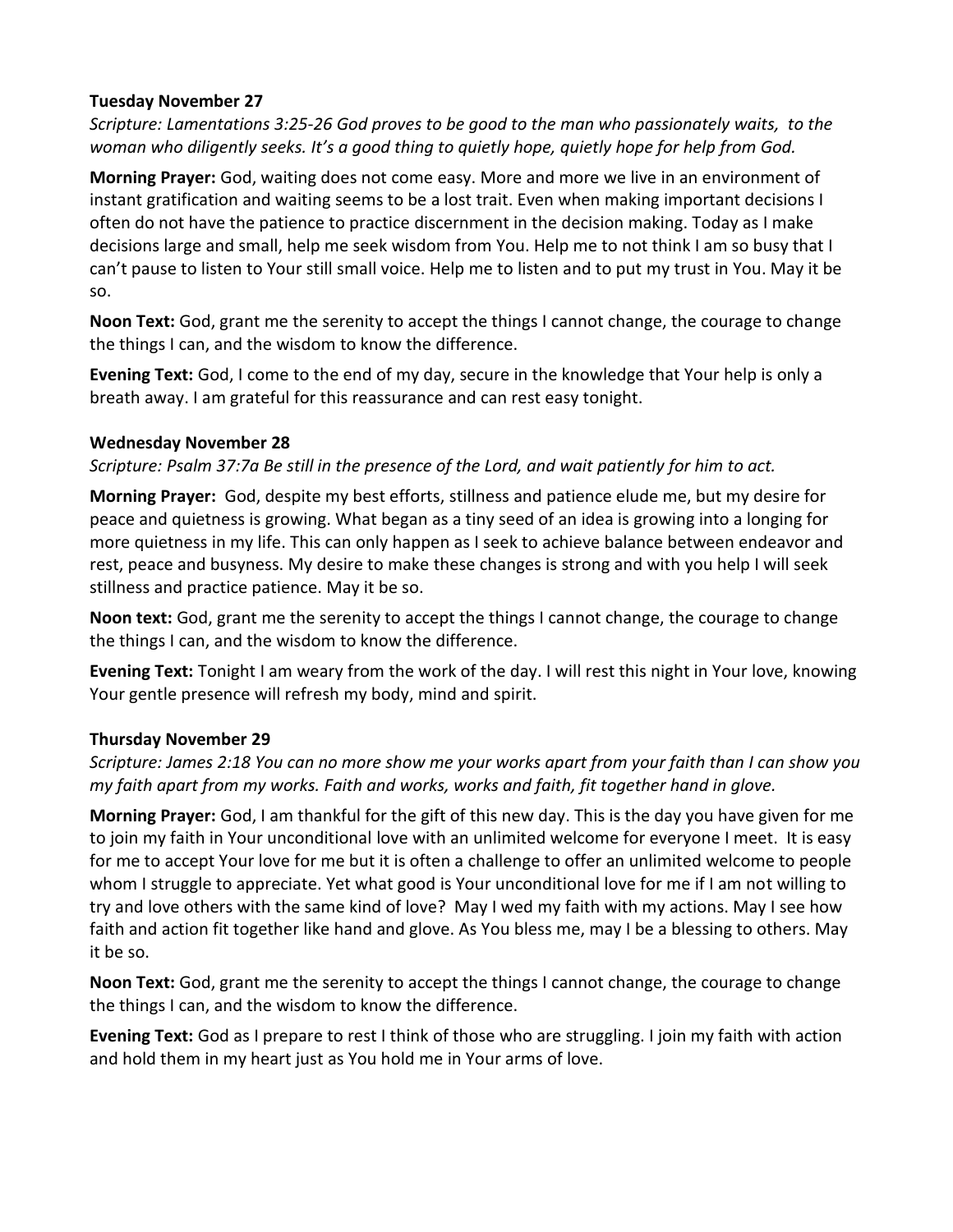### **Tuesday November 27**

*Scripture: Lamentations 3:25-26 God proves to be good to the man who passionately waits, to the woman who diligently seeks. It's a good thing to quietly hope, quietly hope for help from God.*

**Morning Prayer:** God, waiting does not come easy. More and more we live in an environment of instant gratification and waiting seems to be a lost trait. Even when making important decisions I often do not have the patience to practice discernment in the decision making. Today as I make decisions large and small, help me seek wisdom from You. Help me to not think I am so busy that I can't pause to listen to Your still small voice. Help me to listen and to put my trust in You. May it be so.

**Noon Text:** God, grant me the serenity to accept the things I cannot change, the courage to change the things I can, and the wisdom to know the difference.

**Evening Text:** God, I come to the end of my day, secure in the knowledge that Your help is only a breath away. I am grateful for this reassurance and can rest easy tonight.

#### **Wednesday November 28**

# *Scripture: Psalm 37:7a Be still in the presence of the Lord, and wait patiently for him to act.*

**Morning Prayer:** God, despite my best efforts, stillness and patience elude me, but my desire for peace and quietness is growing. What began as a tiny seed of an idea is growing into a longing for more quietness in my life. This can only happen as I seek to achieve balance between endeavor and rest, peace and busyness. My desire to make these changes is strong and with you help I will seek stillness and practice patience. May it be so.

**Noon text:** God, grant me the serenity to accept the things I cannot change, the courage to change the things I can, and the wisdom to know the difference.

**Evening Text:** Tonight I am weary from the work of the day. I will rest this night in Your love, knowing Your gentle presence will refresh my body, mind and spirit.

# **Thursday November 29**

*Scripture: James 2:18 You can no more show me your works apart from your faith than I can show you my faith apart from my works. Faith and works, works and faith, fit together hand in glove.*

**Morning Prayer:** God, I am thankful for the gift of this new day. This is the day you have given for me to join my faith in Your unconditional love with an unlimited welcome for everyone I meet. It is easy for me to accept Your love for me but it is often a challenge to offer an unlimited welcome to people whom I struggle to appreciate. Yet what good is Your unconditional love for me if I am not willing to try and love others with the same kind of love? May I wed my faith with my actions. May I see how faith and action fit together like hand and glove. As You bless me, may I be a blessing to others. May it be so.

**Noon Text:** God, grant me the serenity to accept the things I cannot change, the courage to change the things I can, and the wisdom to know the difference.

**Evening Text:** God as I prepare to rest I think of those who are struggling. I join my faith with action and hold them in my heart just as You hold me in Your arms of love.